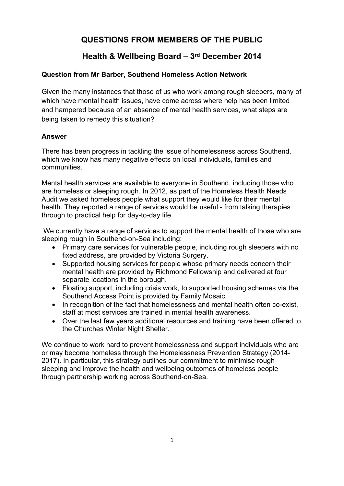# **QUESTIONS FROM MEMBERS OF THE PUBLIC**

## **Health & Wellbeing Board – 3 rd December 2014**

## **Question from Mr Barber, Southend Homeless Action Network**

Given the many instances that those of us who work among rough sleepers, many of which have mental health issues, have come across where help has been limited and hampered because of an absence of mental health services, what steps are being taken to remedy this situation?

## **Answer**

There has been progress in tackling the issue of homelessness across Southend, which we know has many negative effects on local individuals, families and communities.

Mental health services are available to everyone in Southend, including those who are homeless or sleeping rough. In 2012, as part of the Homeless Health Needs Audit we asked homeless people what support they would like for their mental health. They reported a range of services would be useful - from talking therapies through to practical help for day-to-day life.

We currently have a range of services to support the mental health of those who are sleeping rough in Southend-on-Sea including:

- Primary care services for vulnerable people, including rough sleepers with no fixed address, are provided by Victoria Surgery.
- Supported housing services for people whose primary needs concern their mental health are provided by Richmond Fellowship and delivered at four separate locations in the borough.
- Floating support, including crisis work, to supported housing schemes via the Southend Access Point is provided by Family Mosaic.
- In recognition of the fact that homelessness and mental health often co-exist, staff at most services are trained in mental health awareness.
- Over the last few years additional resources and training have been offered to the Churches Winter Night Shelter.

We continue to work hard to prevent homelessness and support individuals who are or may become homeless through the Homelessness Prevention Strategy (2014- 2017). In particular, this strategy outlines our commitment to minimise rough sleeping and improve the health and wellbeing outcomes of homeless people through partnership working across Southend-on-Sea.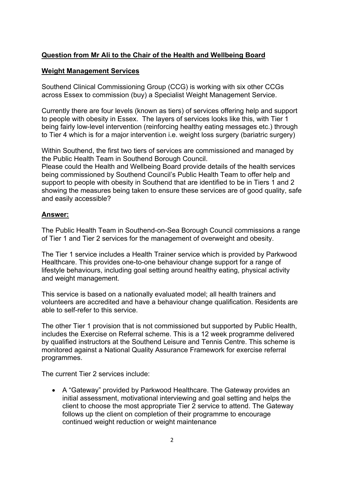### **Question from Mr Ali to the Chair of the Health and Wellbeing Board**

#### **Weight Management Services**

Southend Clinical Commissioning Group (CCG) is working with six other CCGs across Essex to commission (buy) a Specialist Weight Management Service.

Currently there are four levels (known as tiers) of services offering help and support to people with obesity in Essex. The layers of services looks like this, with Tier 1 being fairly low-level intervention (reinforcing healthy eating messages etc.) through to Tier 4 which is for a major intervention i.e. weight loss surgery (bariatric surgery)

Within Southend, the first two tiers of services are commissioned and managed by the Public Health Team in Southend Borough Council.

Please could the Health and Wellbeing Board provide details of the health services being commissioned by Southend Council's Public Health Team to offer help and support to people with obesity in Southend that are identified to be in Tiers 1 and 2 showing the measures being taken to ensure these services are of good quality, safe and easily accessible?

### **Answer:**

The Public Health Team in Southend-on-Sea Borough Council commissions a range of Tier 1 and Tier 2 services for the management of overweight and obesity.

The Tier 1 service includes a Health Trainer service which is provided by Parkwood Healthcare. This provides one-to-one behaviour change support for a range of lifestyle behaviours, including goal setting around healthy eating, physical activity and weight management.

This service is based on a nationally evaluated model; all health trainers and volunteers are accredited and have a behaviour change qualification. Residents are able to self-refer to this service.

The other Tier 1 provision that is not commissioned but supported by Public Health, includes the Exercise on Referral scheme. This is a 12 week programme delivered by qualified instructors at the Southend Leisure and Tennis Centre. This scheme is monitored against a National Quality Assurance Framework for exercise referral programmes.

The current Tier 2 services include:

 A "Gateway" provided by Parkwood Healthcare. The Gateway provides an initial assessment, motivational interviewing and goal setting and helps the client to choose the most appropriate Tier 2 service to attend. The Gateway follows up the client on completion of their programme to encourage continued weight reduction or weight maintenance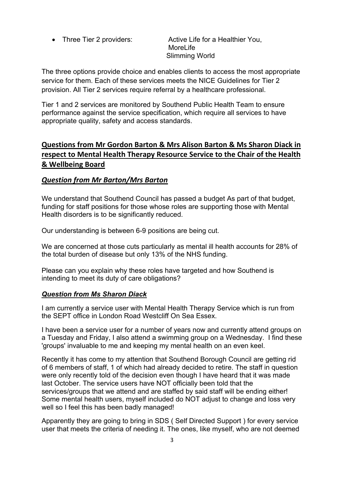• Three Tier 2 providers: Active Life for a Healthier You, MoreLife Slimming World

The three options provide choice and enables clients to access the most appropriate service for them. Each of these services meets the NICE Guidelines for Tier 2 provision. All Tier 2 services require referral by a healthcare professional.

Tier 1 and 2 services are monitored by Southend Public Health Team to ensure performance against the service specification, which require all services to have appropriate quality, safety and access standards.

## **Questions from Mr Gordon Barton & Mrs Alison Barton & Ms Sharon Diack in respect to Mental Health Therapy Resource Service to the Chair of the Health & Wellbeing Board**

## *Question from Mr Barton/Mrs Barton*

We understand that Southend Council has passed a budget As part of that budget, funding for staff positions for those whose roles are supporting those with Mental Health disorders is to be significantly reduced.

Our understanding is between 6-9 positions are being cut.

We are concerned at those cuts particularly as mental ill health accounts for 28% of the total burden of disease but only 13% of the NHS funding.

Please can you explain why these roles have targeted and how Southend is intending to meet its duty of care obligations?

### *Question from Ms Sharon Diack*

I am currently a service user with Mental Health Therapy Service which is run from the SEPT office in London Road Westcliff On Sea Essex.

I have been a service user for a number of years now and currently attend groups on a Tuesday and Friday, I also attend a swimming group on a Wednesday. I find these 'groups' invaluable to me and keeping my mental health on an even keel.

Recently it has come to my attention that Southend Borough Council are getting rid of 6 members of staff, 1 of which had already decided to retire. The staff in question were only recently told of the decision even though I have heard that it was made last October. The service users have NOT officially been told that the services/groups that we attend and are staffed by said staff will be ending either! Some mental health users, myself included do NOT adjust to change and loss very well so I feel this has been badly managed!

Apparently they are going to bring in SDS ( Self Directed Support ) for every service user that meets the criteria of needing it. The ones, like myself, who are not deemed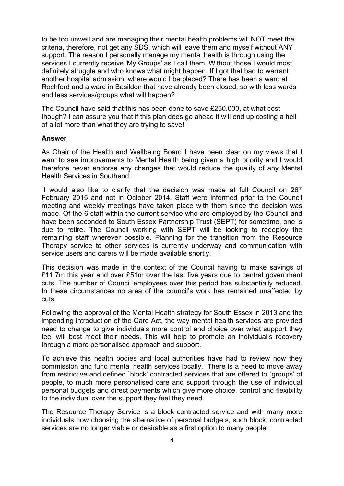to be too unwell and are managing their mental health problems will NOT meet the criteria, therefore, not get any SDS, which will leave them and myself without ANY support. The reason I personally manage my mental health is through using the services I currently receive 'My Groups' as I call them. Without those I would most definitely struggle and who knows what might happen. If I got that bad to warrant another hospital admission, where would I be placed? There has been a ward at Rochford and a ward in Basildon that have already been closed, so with less wards and less services/groups what will happen?

The Council have said that this has been done to save £250.000, at what cost though? I can assure you that if this plan does go ahead it will end up costing a hell of a lot more than what they are trying to save!

#### **Answer**

As Chair of the Health and Wellbeing Board I have been clear on my views that I want to see improvements to Mental Health being given a high priority and I would therefore never endorse any changes that would reduce the quality of any Mental Health Services in Southend.

I would also like to clarify that the decision was made at full Council on  $26<sup>th</sup>$ February 2015 and not in October 2014. Staff were informed prior to the Council meeting and weekly meetings have taken place with them since the decision was made. Of the 6 staff within the current service who are employed by the Council and have been seconded to South Essex Partnership Trust (SEPT) for sometime, one is due to retire. The Council working with SEPT will be looking to redeploy the remaining staff wherever possible. Planning for the transition from the Resource Therapy service to other services is currently underway and communication with service users and carers will be made available shortly.

This decision was made in the context of the Council having to make savings of £11.7m this year and over £51m over the last five years due to central government cuts. The number of Council employees over this period has substantially reduced. In these circumstances no area of the council's work has remained unaffected by cuts.

Following the approval of the Mental Health strategy for South Essex in 2013 and the impending introduction of the Care Act, the way mental health services are provided need to change to give individuals more control and choice over what support they feel will best meet their needs. This will help to promote an individual's recovery through a more personalised approach and support.

To achieve this health bodies and local authorities have had to review how they commission and fund mental health services locally. There is a need to move away from restrictive and defined `block' contracted services that are offered to `groups' of people, to much more personalised care and support through the use of individual personal budgets and direct payments which give more choice, control and flexibility to the individual over the support they feel they need.

The Resource Therapy Service is a block contracted service and with many more individuals now choosing the alternative of personal budgets, such block, contracted services are no longer viable or desirable as a first option to many people.